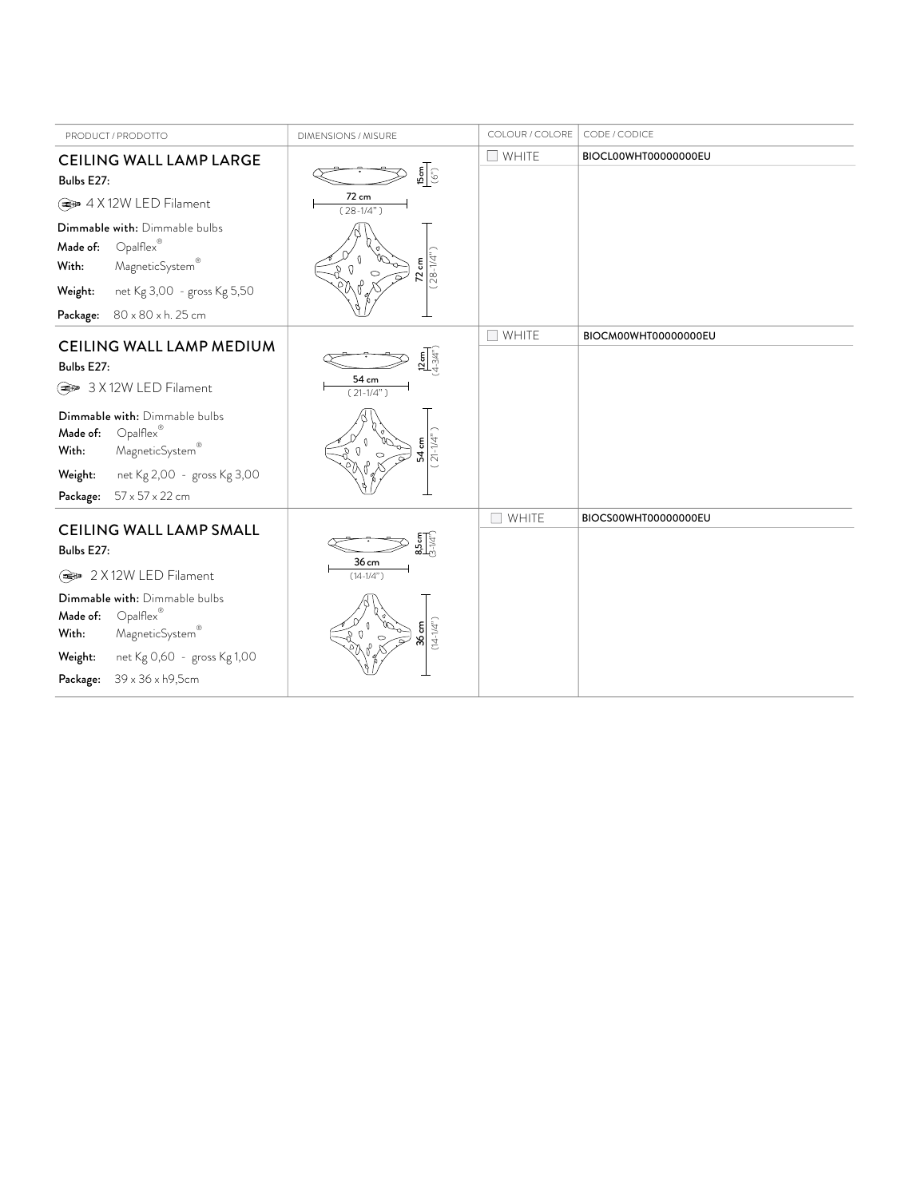| PRODUCT / PRODOTTO                                                                                                                                                                                                                             | DIMENSIONS / MISURE                                                                 | COLOUR / COLORE       | CODE / CODICE        |
|------------------------------------------------------------------------------------------------------------------------------------------------------------------------------------------------------------------------------------------------|-------------------------------------------------------------------------------------|-----------------------|----------------------|
| <b>CEILING WALL LAMP LARGE</b><br>Bulbs E27:                                                                                                                                                                                                   | $\frac{15 \text{ cm}}{(\mathcal{O}^{\prime\prime})}$                                | $\square$ WHITE       | BIOCL00WHT00000000EU |
| → 4 X 12W LED Filament                                                                                                                                                                                                                         | 72 cm<br>$(28-1/4")$                                                                |                       |                      |
| Dimmable with: Dimmable bulbs<br>$Opalflex^®$<br>Made of:<br>MagneticSystem®<br>With:                                                                                                                                                          | $(28-1/4)$<br>$72 \text{ cm}$                                                       |                       |                      |
| net Kg 3,00 - gross Kg 5,50<br>Weight:                                                                                                                                                                                                         |                                                                                     |                       |                      |
| Package: 80 x 80 x h. 25 cm                                                                                                                                                                                                                    |                                                                                     |                       |                      |
| CEILING WALL LAMP MEDIUM<br>Bulbs E27:<br>→ 3 X 12W LED Filament<br>Dimmable with: Dimmable bulbs<br>$Opalflex^{\mathcal{C}}$<br>Made of:<br>MagneticSystem®<br>With:<br>net Kg 2,00 - gross Kg 3,00<br>Weight:<br>57 x 57 x 22 cm<br>Package: | $\frac{12 \text{ cm}}{4 \cdot 3/4"}$<br>54 cm<br>$(21-1/4")$<br>$(21-1/4)$<br>54 cm | $\Box$ WHITE          | BIOCM00WHT00000000EU |
| <b>CEILING WALL LAMP SMALL</b><br>Bulbs E27:<br>→ 2 X 12W LED Filament<br>Dimmable with: Dimmable bulbs<br>$Opalflex^®$<br>Made of:                                                                                                            | $\frac{85 \text{cm}}{31/4}$<br>36 cm<br>$(14-1/4")$                                 | WHITE<br>$\mathsf{L}$ | BIOCS00WHT00000000EU |
| MagneticSystem®<br>With:<br>net Kg 0,60 - gross Kg 1,00<br>Weight:<br>39 x 36 x h9,5cm<br>Package:                                                                                                                                             | $(14 - 1/4)$<br>$rac{5}{8}$                                                         |                       |                      |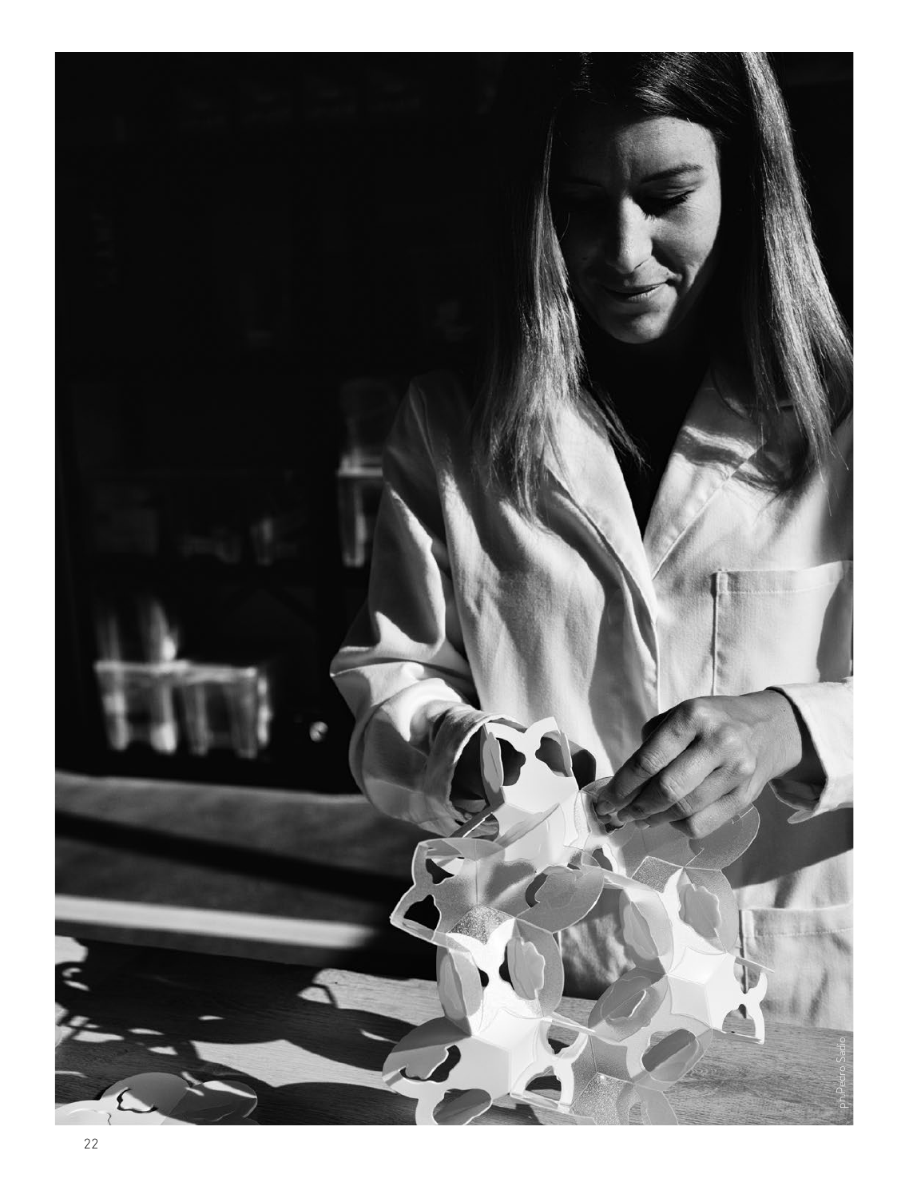